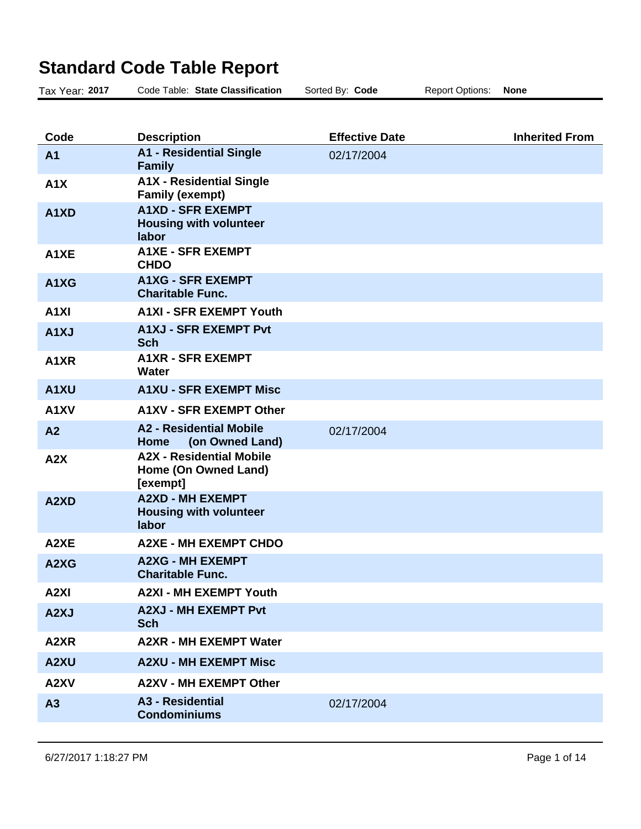## **Standard Code Table Report**

| Tax Year: 2017                | Code Table: State Classification                                    | Sorted By: Code       | <b>Report Options:</b> | <b>None</b>           |
|-------------------------------|---------------------------------------------------------------------|-----------------------|------------------------|-----------------------|
|                               |                                                                     |                       |                        |                       |
| Code                          | <b>Description</b>                                                  | <b>Effective Date</b> |                        | <b>Inherited From</b> |
| A <sub>1</sub>                | <b>A1 - Residential Single</b><br><b>Family</b>                     | 02/17/2004            |                        |                       |
| A1X                           | <b>A1X - Residential Single</b><br><b>Family (exempt)</b>           |                       |                        |                       |
| A1XD                          | <b>A1XD - SFR EXEMPT</b><br><b>Housing with volunteer</b><br>labor  |                       |                        |                       |
| A <sub>1</sub> XE             | <b>A1XE - SFR EXEMPT</b><br><b>CHDO</b>                             |                       |                        |                       |
| A1XG                          | <b>A1XG - SFR EXEMPT</b><br><b>Charitable Func.</b>                 |                       |                        |                       |
| A <sub>1</sub> XI             | <b>A1XI - SFR EXEMPT Youth</b>                                      |                       |                        |                       |
| A <sub>1</sub> XJ             | <b>A1XJ - SFR EXEMPT Pvt</b><br><b>Sch</b>                          |                       |                        |                       |
| A <sub>1</sub> X <sub>R</sub> | <b>A1XR - SFR EXEMPT</b><br>Water                                   |                       |                        |                       |
| A <sub>1</sub> XU             | <b>A1XU - SFR EXEMPT Misc</b>                                       |                       |                        |                       |
| A1XV                          | <b>A1XV - SFR EXEMPT Other</b>                                      |                       |                        |                       |
| A <sub>2</sub>                | <b>A2 - Residential Mobile</b><br>(on Owned Land)<br>Home           | 02/17/2004            |                        |                       |
| A2X                           | <b>A2X - Residential Mobile</b><br>Home (On Owned Land)<br>[exempt] |                       |                        |                       |
| A <sub>2</sub> X <sub>D</sub> | <b>A2XD - MH EXEMPT</b><br><b>Housing with volunteer</b><br>labor   |                       |                        |                       |
| A2XE                          | <b>A2XE - MH EXEMPT CHDO</b>                                        |                       |                        |                       |
| A2XG                          | <b>A2XG - MH EXEMPT</b><br><b>Charitable Func.</b>                  |                       |                        |                       |
| A <sub>2XI</sub>              | <b>A2XI - MH EXEMPT Youth</b>                                       |                       |                        |                       |
| A2XJ                          | <b>A2XJ - MH EXEMPT Pvt</b><br><b>Sch</b>                           |                       |                        |                       |
| A2XR                          | <b>A2XR - MH EXEMPT Water</b>                                       |                       |                        |                       |
| A2XU                          | <b>A2XU - MH EXEMPT Misc</b>                                        |                       |                        |                       |
| A2XV                          | <b>A2XV - MH EXEMPT Other</b>                                       |                       |                        |                       |
| A3                            | <b>A3 - Residential</b><br><b>Condominiums</b>                      | 02/17/2004            |                        |                       |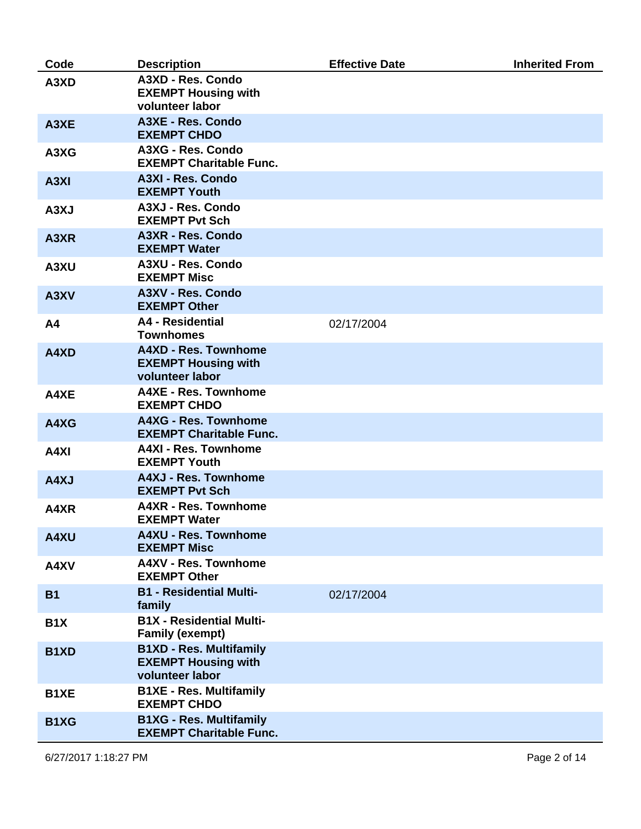| Code              | <b>Description</b>                                                              | <b>Effective Date</b> | <b>Inherited From</b> |
|-------------------|---------------------------------------------------------------------------------|-----------------------|-----------------------|
| A3XD              | A3XD - Res. Condo<br><b>EXEMPT Housing with</b><br>volunteer labor              |                       |                       |
| A3XE              | A3XE - Res. Condo<br><b>EXEMPT CHDO</b>                                         |                       |                       |
| A3XG              | A3XG - Res. Condo<br><b>EXEMPT Charitable Func.</b>                             |                       |                       |
| A <sub>3</sub> XI | A3XI - Res. Condo<br><b>EXEMPT Youth</b>                                        |                       |                       |
| A3XJ              | A3XJ - Res. Condo<br><b>EXEMPT Pvt Sch</b>                                      |                       |                       |
| A3XR              | A3XR - Res. Condo<br><b>EXEMPT Water</b>                                        |                       |                       |
| A3XU              | A3XU - Res. Condo<br><b>EXEMPT Misc</b>                                         |                       |                       |
| A3XV              | A3XV - Res. Condo<br><b>EXEMPT Other</b>                                        |                       |                       |
| A <sub>4</sub>    | A4 - Residential<br><b>Townhomes</b>                                            | 02/17/2004            |                       |
| A4XD              | <b>A4XD - Res. Townhome</b><br><b>EXEMPT Housing with</b><br>volunteer labor    |                       |                       |
| A4XE              | <b>A4XE - Res. Townhome</b><br><b>EXEMPT CHDO</b>                               |                       |                       |
| A4XG              | A4XG - Res. Townhome<br><b>EXEMPT Charitable Func.</b>                          |                       |                       |
| A4XI              | <b>A4XI - Res. Townhome</b><br><b>EXEMPT Youth</b>                              |                       |                       |
| A4XJ              | <b>A4XJ - Res. Townhome</b><br><b>EXEMPT Pvt Sch</b>                            |                       |                       |
| A4XR              | <b>A4XR - Res. Townhome</b><br><b>EXEMPT Water</b>                              |                       |                       |
| A4XU              | <b>A4XU - Res. Townhome</b><br><b>EXEMPT Misc</b>                               |                       |                       |
| A4XV              | <b>A4XV - Res. Townhome</b><br><b>EXEMPT Other</b>                              |                       |                       |
| <b>B1</b>         | <b>B1 - Residential Multi-</b><br>family                                        | 02/17/2004            |                       |
| B <sub>1</sub> X  | <b>B1X - Residential Multi-</b><br><b>Family (exempt)</b>                       |                       |                       |
| B <sub>1</sub> XD | <b>B1XD - Res. Multifamily</b><br><b>EXEMPT Housing with</b><br>volunteer labor |                       |                       |
| B <sub>1</sub> XE | <b>B1XE - Res. Multifamily</b><br><b>EXEMPT CHDO</b>                            |                       |                       |
| B <sub>1</sub> XG | <b>B1XG - Res. Multifamily</b><br><b>EXEMPT Charitable Func.</b>                |                       |                       |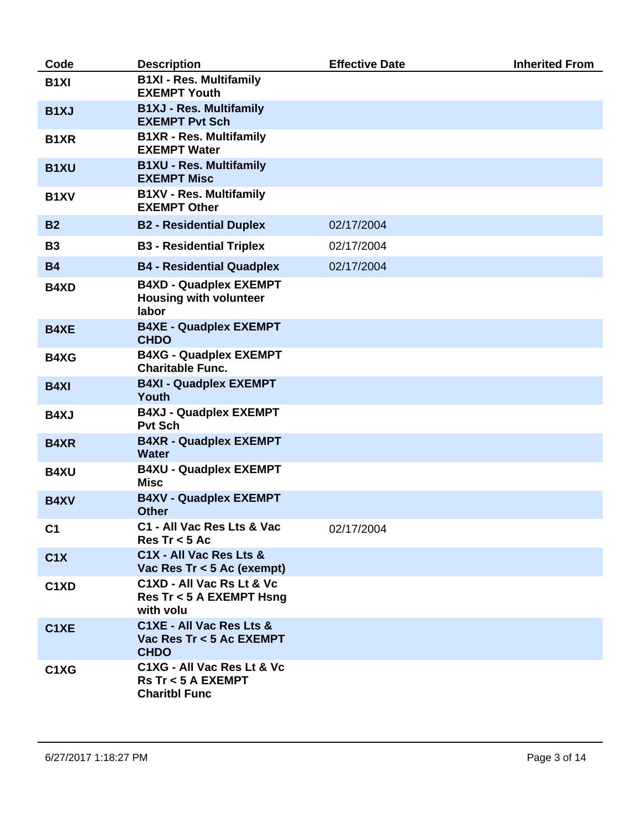| Code                          | <b>Description</b>                                                                 | <b>Effective Date</b> | <b>Inherited From</b> |
|-------------------------------|------------------------------------------------------------------------------------|-----------------------|-----------------------|
| B <sub>1XI</sub>              | <b>B1XI - Res. Multifamily</b><br><b>EXEMPT Youth</b>                              |                       |                       |
| B <sub>1</sub> XJ             | <b>B1XJ - Res. Multifamily</b><br><b>EXEMPT Pvt Sch</b>                            |                       |                       |
| B <sub>1</sub> XR             | <b>B1XR - Res. Multifamily</b><br><b>EXEMPT Water</b>                              |                       |                       |
| <b>B1XU</b>                   | <b>B1XU - Res. Multifamily</b><br><b>EXEMPT Misc</b>                               |                       |                       |
| B <sub>1</sub> XV             | <b>B1XV - Res. Multifamily</b><br><b>EXEMPT Other</b>                              |                       |                       |
| <b>B2</b>                     | <b>B2 - Residential Duplex</b>                                                     | 02/17/2004            |                       |
| <b>B3</b>                     | <b>B3 - Residential Triplex</b>                                                    | 02/17/2004            |                       |
| <b>B4</b>                     | <b>B4 - Residential Quadplex</b>                                                   | 02/17/2004            |                       |
| B4XD                          | <b>B4XD - Quadplex EXEMPT</b><br><b>Housing with volunteer</b><br>labor            |                       |                       |
| <b>B4XE</b>                   | <b>B4XE - Quadplex EXEMPT</b><br><b>CHDO</b>                                       |                       |                       |
| <b>B4XG</b>                   | <b>B4XG - Quadplex EXEMPT</b><br><b>Charitable Func.</b>                           |                       |                       |
| <b>B4XI</b>                   | <b>B4XI - Quadplex EXEMPT</b><br><b>Youth</b>                                      |                       |                       |
| <b>B4XJ</b>                   | <b>B4XJ - Quadplex EXEMPT</b><br><b>Pvt Sch</b>                                    |                       |                       |
| <b>B4XR</b>                   | <b>B4XR - Quadplex EXEMPT</b><br><b>Water</b>                                      |                       |                       |
| <b>B4XU</b>                   | <b>B4XU - Quadplex EXEMPT</b><br><b>Misc</b>                                       |                       |                       |
| <b>B4XV</b>                   | <b>B4XV - Quadplex EXEMPT</b><br><b>Other</b>                                      |                       |                       |
| C1                            | C1 - All Vac Res Lts & Vac<br>$Res Tr < 5$ Ac                                      | 02/17/2004            |                       |
| C1X                           | C1X - All Vac Res Lts &<br>Vac Res Tr $<$ 5 Ac (exempt)                            |                       |                       |
| C <sub>1</sub> X <sub>D</sub> | C1XD - All Vac Rs Lt & Vc<br>Res Tr < 5 A EXEMPT Hsng<br>with volu                 |                       |                       |
| C <sub>1</sub> XE             | C1XE - All Vac Res Lts &<br>Vac Res Tr < 5 Ac EXEMPT<br><b>CHDO</b>                |                       |                       |
| C1XG                          | C1XG - All Vac Res Lt & Vc<br><b>Rs Tr &lt; 5 A EXEMPT</b><br><b>Charitbl Func</b> |                       |                       |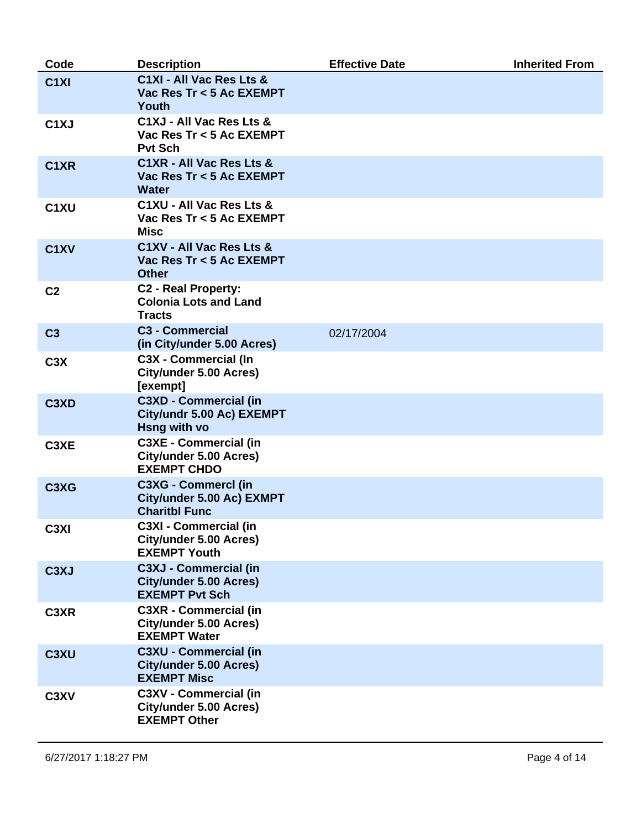| Code                          | <b>Description</b>                                                                     | <b>Effective Date</b> | <b>Inherited From</b> |
|-------------------------------|----------------------------------------------------------------------------------------|-----------------------|-----------------------|
| C <sub>1</sub> XI             | C1XI - All Vac Res Lts &<br>Vac Res Tr < 5 Ac EXEMPT<br>Youth                          |                       |                       |
| C <sub>1</sub> XJ             | C1XJ - All Vac Res Lts &<br>Vac Res Tr < 5 Ac EXEMPT<br><b>Pvt Sch</b>                 |                       |                       |
| C1XR                          | C1XR - All Vac Res Lts &<br>Vac Res Tr < 5 Ac EXEMPT<br><b>Water</b>                   |                       |                       |
| C <sub>1</sub> XU             | C1XU - All Vac Res Lts &<br>Vac Res Tr < 5 Ac EXEMPT<br><b>Misc</b>                    |                       |                       |
| C <sub>1</sub> XV             | C1XV - All Vac Res Lts &<br>Vac Res Tr < 5 Ac EXEMPT<br><b>Other</b>                   |                       |                       |
| C <sub>2</sub>                | <b>C2 - Real Property:</b><br><b>Colonia Lots and Land</b><br><b>Tracts</b>            |                       |                       |
| C <sub>3</sub>                | <b>C3 - Commercial</b><br>(in City/under 5.00 Acres)                                   | 02/17/2004            |                       |
| C <sub>3</sub> X              | <b>C3X - Commercial (In</b><br>City/under 5.00 Acres)<br>[exempt]                      |                       |                       |
| C <sub>3</sub> XD             | <b>C3XD - Commercial (in</b><br>City/undr 5.00 Ac) EXEMPT<br>Hsng with vo              |                       |                       |
| C3XE                          | <b>C3XE - Commercial (in</b><br>City/under 5.00 Acres)<br><b>EXEMPT CHDO</b>           |                       |                       |
| C <sub>3</sub> X <sub>G</sub> | <b>C3XG - Commercl (in</b><br>City/under 5.00 Ac) EXMPT<br><b>Charitbl Func</b>        |                       |                       |
| C <sub>3</sub> XI             | <b>C3XI - Commercial (in</b><br>City/under 5.00 Acres)<br><b>EXEMPT Youth</b>          |                       |                       |
| C <sub>3</sub> XJ             | <b>C3XJ - Commercial (in</b><br><b>City/under 5.00 Acres)</b><br><b>EXEMPT Pvt Sch</b> |                       |                       |
| C3XR                          | <b>C3XR - Commercial (in</b><br><b>City/under 5.00 Acres)</b><br><b>EXEMPT Water</b>   |                       |                       |
| C <sub>3</sub> XU             | <b>C3XU - Commercial (in</b><br><b>City/under 5.00 Acres)</b><br><b>EXEMPT Misc</b>    |                       |                       |
| C <sub>3</sub> XV             | <b>C3XV - Commercial (in</b><br><b>City/under 5.00 Acres)</b><br><b>EXEMPT Other</b>   |                       |                       |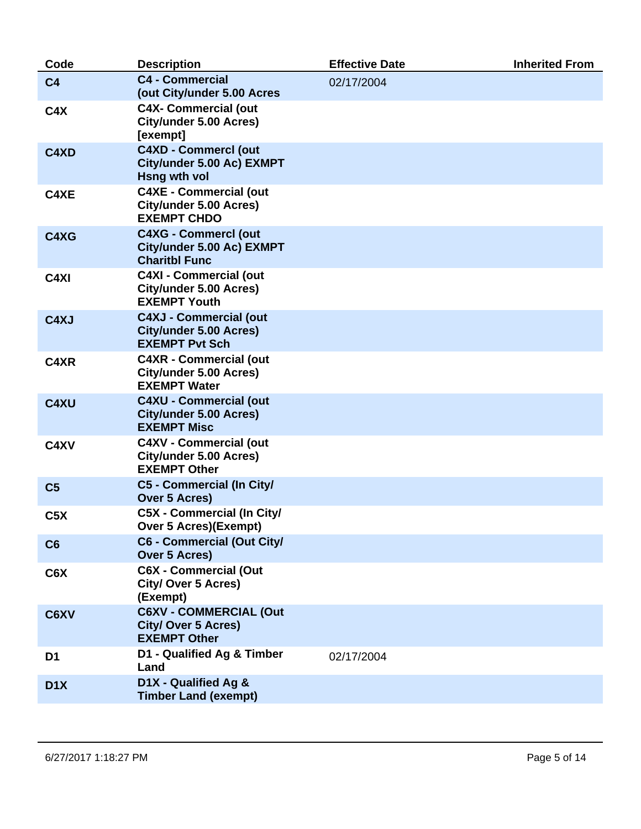| Code              | <b>Description</b>                                                                      | <b>Effective Date</b> | <b>Inherited From</b> |
|-------------------|-----------------------------------------------------------------------------------------|-----------------------|-----------------------|
| C <sub>4</sub>    | <b>C4 - Commercial</b><br>(out City/under 5.00 Acres                                    | 02/17/2004            |                       |
| C4X               | <b>C4X- Commercial (out</b><br>City/under 5.00 Acres)<br>[exempt]                       |                       |                       |
| C4XD              | <b>C4XD - CommercI (out</b><br>City/under 5.00 Ac) EXMPT<br><b>Hsng wth vol</b>         |                       |                       |
| C4XE              | <b>C4XE - Commercial (out</b><br>City/under 5.00 Acres)<br><b>EXEMPT CHDO</b>           |                       |                       |
| C4XG              | <b>C4XG - CommercI (out</b><br>City/under 5.00 Ac) EXMPT<br><b>Charitbl Func</b>        |                       |                       |
| C <sub>4</sub> XI | <b>C4XI - Commercial (out</b><br>City/under 5.00 Acres)<br><b>EXEMPT Youth</b>          |                       |                       |
| C4XJ              | <b>C4XJ - Commercial (out</b><br><b>City/under 5.00 Acres)</b><br><b>EXEMPT Pvt Sch</b> |                       |                       |
| C4XR              | <b>C4XR - Commercial (out</b><br>City/under 5.00 Acres)<br><b>EXEMPT Water</b>          |                       |                       |
| C4XU              | <b>C4XU - Commercial (out</b><br><b>City/under 5.00 Acres)</b><br><b>EXEMPT Misc</b>    |                       |                       |
| C4XV              | <b>C4XV - Commercial (out</b><br>City/under 5.00 Acres)<br><b>EXEMPT Other</b>          |                       |                       |
| C <sub>5</sub>    | C5 - Commercial (In City/<br><b>Over 5 Acres)</b>                                       |                       |                       |
| C5X               | <b>C5X - Commercial (In City/</b><br><b>Over 5 Acres)(Exempt)</b>                       |                       |                       |
| C6                | <b>C6 - Commercial (Out City/</b><br><b>Over 5 Acres)</b>                               |                       |                       |
| C6X               | <b>C6X - Commercial (Out</b><br><b>City/ Over 5 Acres)</b><br>(Exempt)                  |                       |                       |
| C6XV              | <b>C6XV - COMMERCIAL (Out</b><br><b>City/ Over 5 Acres)</b><br><b>EXEMPT Other</b>      |                       |                       |
| D <sub>1</sub>    | D1 - Qualified Ag & Timber<br>Land                                                      | 02/17/2004            |                       |
| D <sub>1</sub> X  | D1X - Qualified Ag &<br><b>Timber Land (exempt)</b>                                     |                       |                       |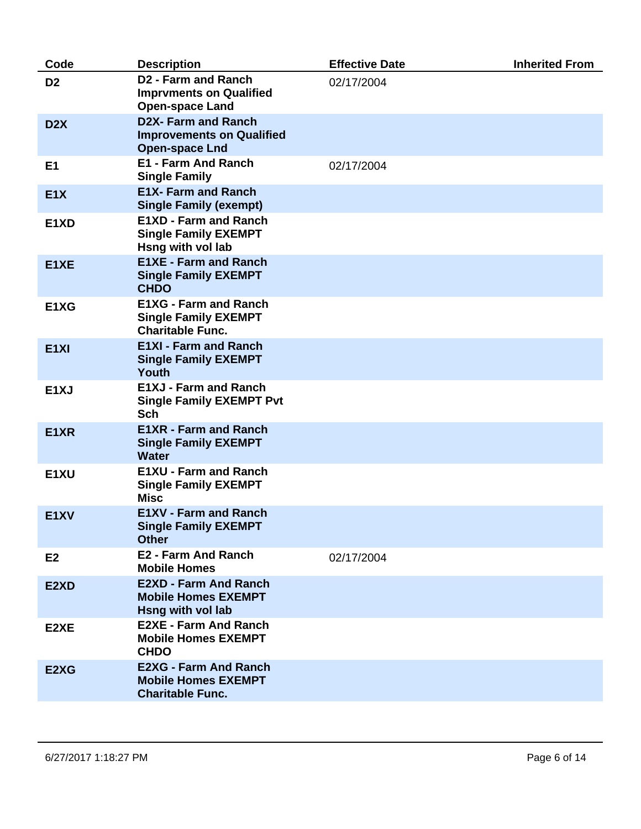| Code                          | <b>Description</b>                                                                     | <b>Effective Date</b> | <b>Inherited From</b> |
|-------------------------------|----------------------------------------------------------------------------------------|-----------------------|-----------------------|
| D <sub>2</sub>                | <b>D2 - Farm and Ranch</b><br><b>Imprvments on Qualified</b><br><b>Open-space Land</b> | 02/17/2004            |                       |
| D <sub>2</sub> X              | <b>D2X-Farm and Ranch</b><br><b>Improvements on Qualified</b><br><b>Open-space Lnd</b> |                       |                       |
| E <sub>1</sub>                | <b>E1 - Farm And Ranch</b><br><b>Single Family</b>                                     | 02/17/2004            |                       |
| E1X                           | <b>E1X- Farm and Ranch</b><br><b>Single Family (exempt)</b>                            |                       |                       |
| E1XD                          | <b>E1XD - Farm and Ranch</b><br><b>Single Family EXEMPT</b><br>Hsng with vol lab       |                       |                       |
| E1XE                          | <b>E1XE - Farm and Ranch</b><br><b>Single Family EXEMPT</b><br><b>CHDO</b>             |                       |                       |
| E <sub>1</sub> X <sub>G</sub> | <b>E1XG - Farm and Ranch</b><br><b>Single Family EXEMPT</b><br><b>Charitable Func.</b> |                       |                       |
| E <sub>1XI</sub>              | <b>E1XI - Farm and Ranch</b><br><b>Single Family EXEMPT</b><br>Youth                   |                       |                       |
| E <sub>1</sub> XJ             | <b>E1XJ - Farm and Ranch</b><br><b>Single Family EXEMPT Pvt</b><br><b>Sch</b>          |                       |                       |
| E1XR                          | <b>E1XR - Farm and Ranch</b><br><b>Single Family EXEMPT</b><br><b>Water</b>            |                       |                       |
| E1XU                          | <b>E1XU - Farm and Ranch</b><br><b>Single Family EXEMPT</b><br><b>Misc</b>             |                       |                       |
| E <sub>1</sub> XV             | <b>E1XV - Farm and Ranch</b><br><b>Single Family EXEMPT</b><br><b>Other</b>            |                       |                       |
| E <sub>2</sub>                | <b>E2 - Farm And Ranch</b><br><b>Mobile Homes</b>                                      | 02/17/2004            |                       |
| E2XD                          | <b>E2XD - Farm And Ranch</b><br><b>Mobile Homes EXEMPT</b><br>Hsng with vol lab        |                       |                       |
| E2XE                          | <b>E2XE - Farm And Ranch</b><br><b>Mobile Homes EXEMPT</b><br><b>CHDO</b>              |                       |                       |
| E2XG                          | <b>E2XG - Farm And Ranch</b><br><b>Mobile Homes EXEMPT</b><br><b>Charitable Func.</b>  |                       |                       |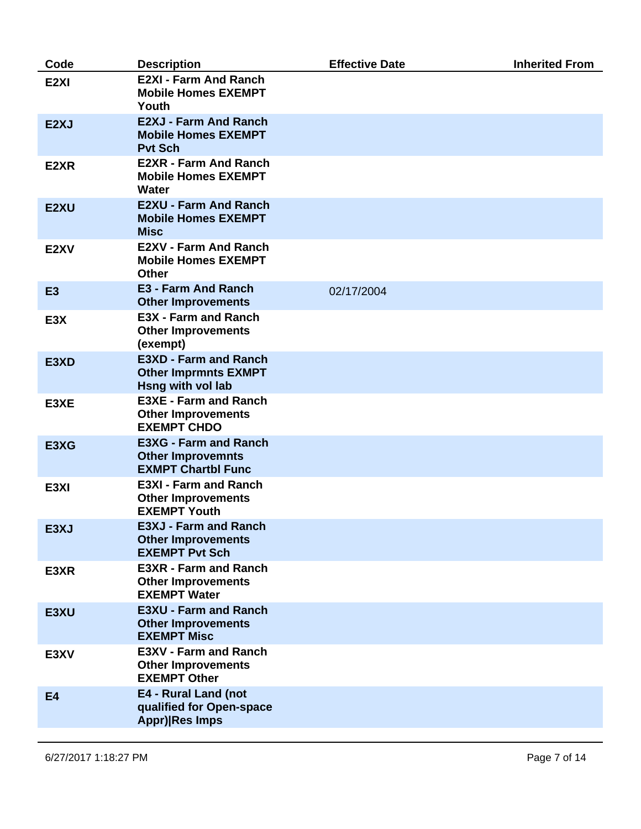| Code              | <b>Description</b>                                                                    | <b>Effective Date</b> | <b>Inherited From</b> |
|-------------------|---------------------------------------------------------------------------------------|-----------------------|-----------------------|
| E <sub>2XI</sub>  | <b>E2XI - Farm And Ranch</b><br><b>Mobile Homes EXEMPT</b><br>Youth                   |                       |                       |
| E <sub>2</sub> XJ | <b>E2XJ - Farm And Ranch</b><br><b>Mobile Homes EXEMPT</b><br><b>Pvt Sch</b>          |                       |                       |
| E2XR              | <b>E2XR - Farm And Ranch</b><br><b>Mobile Homes EXEMPT</b><br>Water                   |                       |                       |
| E <sub>2</sub> XU | <b>E2XU - Farm And Ranch</b><br><b>Mobile Homes EXEMPT</b><br><b>Misc</b>             |                       |                       |
| E <sub>2</sub> XV | <b>E2XV - Farm And Ranch</b><br><b>Mobile Homes EXEMPT</b><br><b>Other</b>            |                       |                       |
| E <sub>3</sub>    | <b>E3 - Farm And Ranch</b><br><b>Other Improvements</b>                               | 02/17/2004            |                       |
| E3X               | <b>E3X - Farm and Ranch</b><br><b>Other Improvements</b><br>(exempt)                  |                       |                       |
| E3XD              | <b>E3XD - Farm and Ranch</b><br><b>Other Imprmnts EXMPT</b><br>Hsng with vol lab      |                       |                       |
| E3XE              | <b>E3XE - Farm and Ranch</b><br><b>Other Improvements</b><br><b>EXEMPT CHDO</b>       |                       |                       |
| E3XG              | <b>E3XG - Farm and Ranch</b><br><b>Other Improvemnts</b><br><b>EXMPT Chartbl Func</b> |                       |                       |
| E3XI              | <b>E3XI - Farm and Ranch</b><br><b>Other Improvements</b><br><b>EXEMPT Youth</b>      |                       |                       |
| E3XJ              | <b>E3XJ - Farm and Ranch</b><br><b>Other Improvements</b><br><b>EXEMPT Pvt Sch</b>    |                       |                       |
| E3XR              | <b>E3XR - Farm and Ranch</b><br><b>Other Improvements</b><br><b>EXEMPT Water</b>      |                       |                       |
| E3XU              | <b>E3XU - Farm and Ranch</b><br><b>Other Improvements</b><br><b>EXEMPT Misc</b>       |                       |                       |
| E3XV              | <b>E3XV - Farm and Ranch</b><br><b>Other Improvements</b><br><b>EXEMPT Other</b>      |                       |                       |
| <b>E4</b>         | E4 - Rural Land (not<br>qualified for Open-space<br>Appr) Res Imps                    |                       |                       |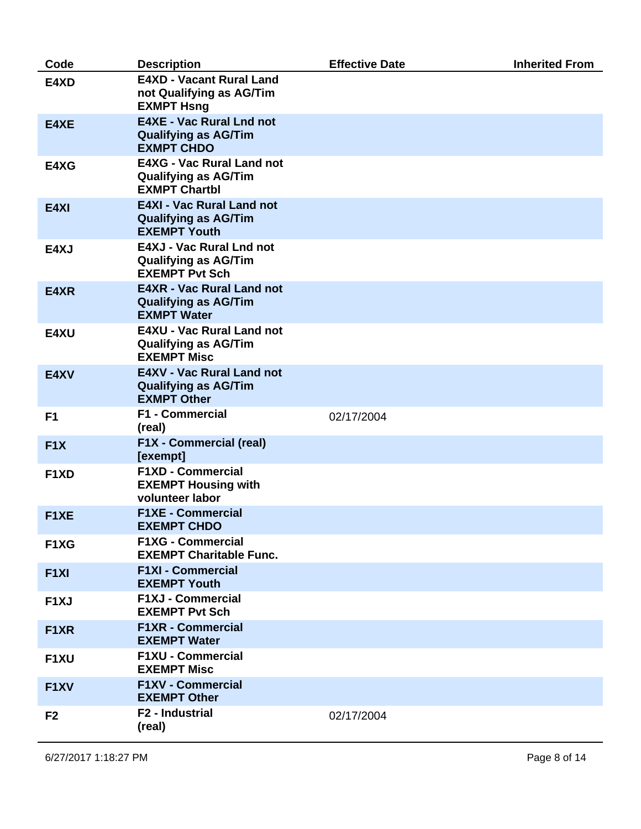| Code              | <b>Description</b>                                                                      | <b>Effective Date</b> | <b>Inherited From</b> |
|-------------------|-----------------------------------------------------------------------------------------|-----------------------|-----------------------|
| E4XD              | <b>E4XD - Vacant Rural Land</b><br>not Qualifying as AG/Tim<br><b>EXMPT Hsng</b>        |                       |                       |
| E4XE              | <b>E4XE - Vac Rural Lnd not</b><br><b>Qualifying as AG/Tim</b><br><b>EXMPT CHDO</b>     |                       |                       |
| E4XG              | <b>E4XG - Vac Rural Land not</b><br><b>Qualifying as AG/Tim</b><br><b>EXMPT Chartbl</b> |                       |                       |
| E4XI              | <b>E4XI - Vac Rural Land not</b><br><b>Qualifying as AG/Tim</b><br><b>EXEMPT Youth</b>  |                       |                       |
| E4XJ              | E4XJ - Vac Rural Lnd not<br><b>Qualifying as AG/Tim</b><br><b>EXEMPT Pvt Sch</b>        |                       |                       |
| E4XR              | <b>E4XR - Vac Rural Land not</b><br><b>Qualifying as AG/Tim</b><br><b>EXMPT Water</b>   |                       |                       |
| E4XU              | <b>E4XU - Vac Rural Land not</b><br><b>Qualifying as AG/Tim</b><br><b>EXEMPT Misc</b>   |                       |                       |
| E4XV              | <b>E4XV - Vac Rural Land not</b><br><b>Qualifying as AG/Tim</b><br><b>EXMPT Other</b>   |                       |                       |
| F <sub>1</sub>    | <b>F1 - Commercial</b><br>(real)                                                        | 02/17/2004            |                       |
| F1X               | <b>F1X - Commercial (real)</b><br>[exempt]                                              |                       |                       |
| F <sub>1</sub> XD | <b>F1XD - Commercial</b><br><b>EXEMPT Housing with</b><br>volunteer labor               |                       |                       |
| F <sub>1</sub> XE | <b>F1XE - Commercial</b><br><b>EXEMPT CHDO</b>                                          |                       |                       |
| F1XG              | <b>F1XG - Commercial</b><br><b>EXEMPT Charitable Func.</b>                              |                       |                       |
| F <sub>1XI</sub>  | <b>F1XI - Commercial</b><br><b>EXEMPT Youth</b>                                         |                       |                       |
| F <sub>1</sub> XJ | <b>F1XJ - Commercial</b><br><b>EXEMPT Pvt Sch</b>                                       |                       |                       |
| F <sub>1</sub> XR | <b>F1XR - Commercial</b><br><b>EXEMPT Water</b>                                         |                       |                       |
| F1XU              | F1XU - Commercial<br><b>EXEMPT Misc</b>                                                 |                       |                       |
| F <sub>1</sub> XV | <b>F1XV - Commercial</b><br><b>EXEMPT Other</b>                                         |                       |                       |
| F <sub>2</sub>    | F2 - Industrial<br>(real)                                                               | 02/17/2004            |                       |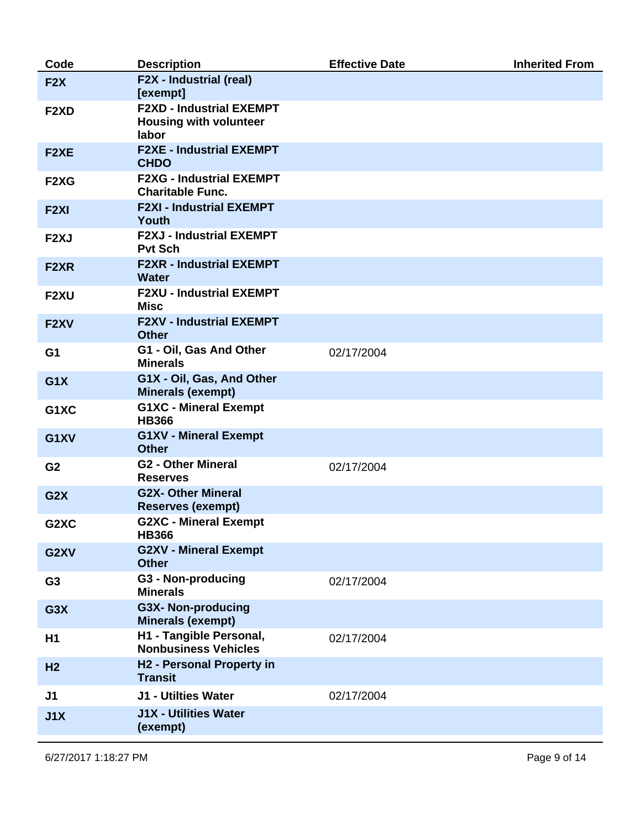| Code              | <b>Description</b>                                                        | <b>Effective Date</b> | <b>Inherited From</b> |
|-------------------|---------------------------------------------------------------------------|-----------------------|-----------------------|
| F2X               | F2X - Industrial (real)<br>[exempt]                                       |                       |                       |
| F <sub>2</sub> XD | <b>F2XD - Industrial EXEMPT</b><br><b>Housing with volunteer</b><br>labor |                       |                       |
| F <sub>2</sub> XE | <b>F2XE - Industrial EXEMPT</b><br><b>CHDO</b>                            |                       |                       |
| F2XG              | <b>F2XG - Industrial EXEMPT</b><br><b>Charitable Func.</b>                |                       |                       |
| F <sub>2XI</sub>  | <b>F2XI - Industrial EXEMPT</b><br>Youth                                  |                       |                       |
| F <sub>2</sub> XJ | <b>F2XJ - Industrial EXEMPT</b><br><b>Pvt Sch</b>                         |                       |                       |
| F <sub>2</sub> XR | <b>F2XR - Industrial EXEMPT</b><br><b>Water</b>                           |                       |                       |
| F <sub>2</sub> XU | <b>F2XU - Industrial EXEMPT</b><br>Misc                                   |                       |                       |
| F <sub>2</sub> XV | <b>F2XV - Industrial EXEMPT</b><br><b>Other</b>                           |                       |                       |
| G <sub>1</sub>    | G1 - Oil, Gas And Other<br><b>Minerals</b>                                | 02/17/2004            |                       |
| G1X               | G1X - Oil, Gas, And Other<br><b>Minerals (exempt)</b>                     |                       |                       |
| G1XC              | <b>G1XC - Mineral Exempt</b><br><b>HB366</b>                              |                       |                       |
| G1XV              | <b>G1XV - Mineral Exempt</b><br><b>Other</b>                              |                       |                       |
| G <sub>2</sub>    | <b>G2 - Other Mineral</b><br><b>Reserves</b>                              | 02/17/2004            |                       |
| G2X               | <b>G2X- Other Mineral</b><br><b>Reserves (exempt)</b>                     |                       |                       |
| G2XC              | <b>G2XC - Mineral Exempt</b><br><b>HB366</b>                              |                       |                       |
| G2XV              | <b>G2XV - Mineral Exempt</b><br><b>Other</b>                              |                       |                       |
| G <sub>3</sub>    | <b>G3 - Non-producing</b><br><b>Minerals</b>                              | 02/17/2004            |                       |
| G3X               | <b>G3X- Non-producing</b><br><b>Minerals (exempt)</b>                     |                       |                       |
| H <sub>1</sub>    | H1 - Tangible Personal,<br><b>Nonbusiness Vehicles</b>                    | 02/17/2004            |                       |
| H <sub>2</sub>    | H2 - Personal Property in<br><b>Transit</b>                               |                       |                       |
| J <sub>1</sub>    | J1 - Utilties Water                                                       | 02/17/2004            |                       |
| J1X               | <b>J1X - Utilities Water</b><br>(exempt)                                  |                       |                       |
|                   |                                                                           |                       |                       |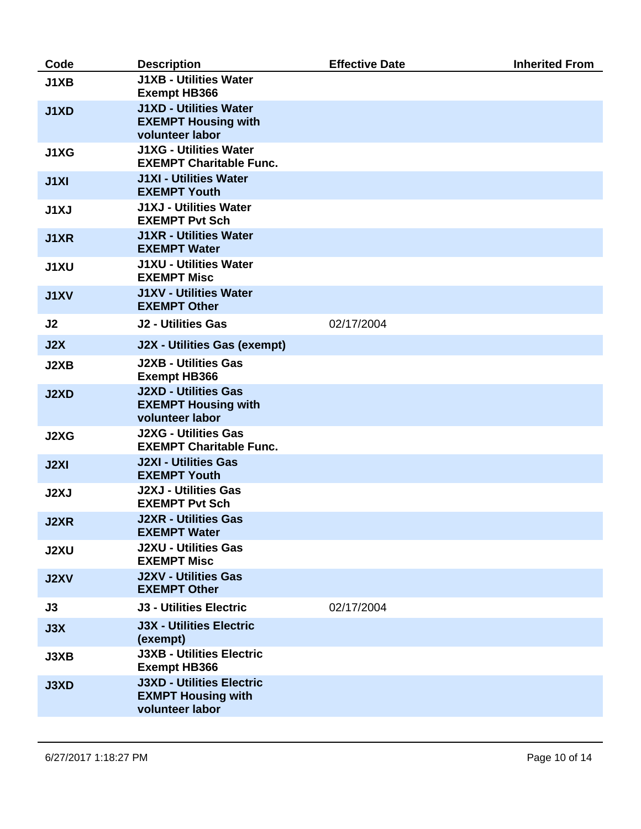| Code           | <b>Description</b>                                                               | <b>Effective Date</b> | <b>Inherited From</b> |
|----------------|----------------------------------------------------------------------------------|-----------------------|-----------------------|
| J1XB           | <b>J1XB - Utilities Water</b><br><b>Exempt HB366</b>                             |                       |                       |
| J1XD           | <b>J1XD - Utilities Water</b><br><b>EXEMPT Housing with</b><br>volunteer labor   |                       |                       |
| J1XG           | <b>J1XG - Utilities Water</b><br><b>EXEMPT Charitable Func.</b>                  |                       |                       |
| J1XI           | <b>J1XI - Utilities Water</b><br><b>EXEMPT Youth</b>                             |                       |                       |
| J1XJ           | <b>J1XJ - Utilities Water</b><br><b>EXEMPT Pvt Sch</b>                           |                       |                       |
| J1XR           | <b>J1XR - Utilities Water</b><br><b>EXEMPT Water</b>                             |                       |                       |
| <b>J1XU</b>    | <b>J1XU - Utilities Water</b><br><b>EXEMPT Misc</b>                              |                       |                       |
| <b>J1XV</b>    | <b>J1XV - Utilities Water</b><br><b>EXEMPT Other</b>                             |                       |                       |
| J <sub>2</sub> | <b>J2 - Utilities Gas</b>                                                        | 02/17/2004            |                       |
| J2X            | <b>J2X - Utilities Gas (exempt)</b>                                              |                       |                       |
| J2XB           | <b>J2XB - Utilities Gas</b><br><b>Exempt HB366</b>                               |                       |                       |
| J2XD           | <b>J2XD - Utilities Gas</b><br><b>EXEMPT Housing with</b><br>volunteer labor     |                       |                       |
| J2XG           | <b>J2XG - Utilities Gas</b><br><b>EXEMPT Charitable Func.</b>                    |                       |                       |
| <b>J2XI</b>    | <b>J2XI - Utilities Gas</b><br><b>EXEMPT Youth</b>                               |                       |                       |
| J2XJ           | <b>J2XJ - Utilities Gas</b><br><b>EXEMPT Pvt Sch</b>                             |                       |                       |
| J2XR           | <b>J2XR - Utilities Gas</b><br><b>EXEMPT Water</b>                               |                       |                       |
| <b>J2XU</b>    | <b>J2XU - Utilities Gas</b><br><b>EXEMPT Misc</b>                                |                       |                       |
| <b>J2XV</b>    | <b>J2XV - Utilities Gas</b><br><b>EXEMPT Other</b>                               |                       |                       |
| J3             | <b>J3 - Utilities Electric</b>                                                   | 02/17/2004            |                       |
| J3X            | <b>J3X - Utilities Electric</b><br>(exempt)                                      |                       |                       |
| J3XB           | <b>J3XB - Utilities Electric</b><br><b>Exempt HB366</b>                          |                       |                       |
| <b>J3XD</b>    | <b>J3XD - Utilities Electric</b><br><b>EXMPT Housing with</b><br>volunteer labor |                       |                       |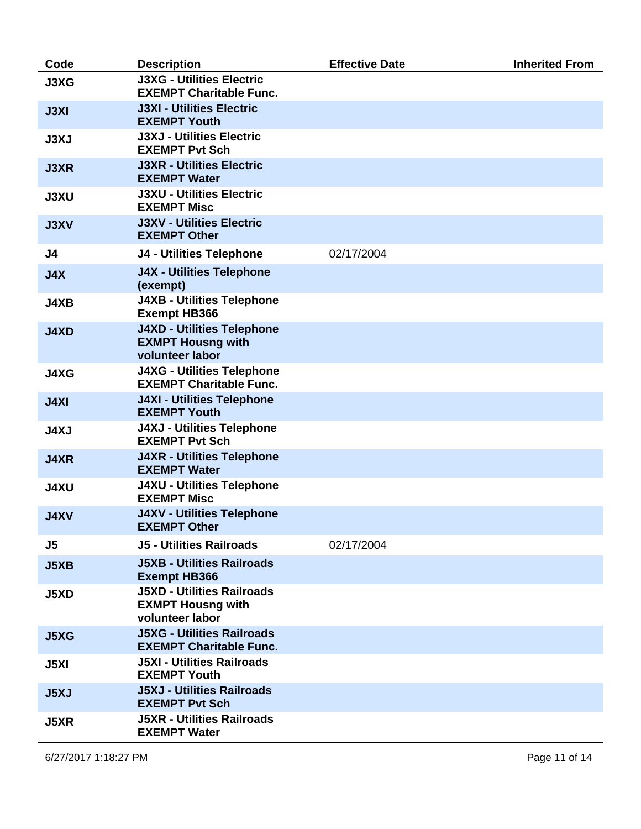| Code           | <b>Description</b>                                                               | <b>Effective Date</b> | <b>Inherited From</b> |
|----------------|----------------------------------------------------------------------------------|-----------------------|-----------------------|
| J3XG           | <b>J3XG - Utilities Electric</b><br><b>EXEMPT Charitable Func.</b>               |                       |                       |
| <b>J3XI</b>    | <b>J3XI - Utilities Electric</b><br><b>EXEMPT Youth</b>                          |                       |                       |
| <b>J3XJ</b>    | <b>J3XJ - Utilities Electric</b><br><b>EXEMPT Pvt Sch</b>                        |                       |                       |
| <b>J3XR</b>    | <b>J3XR - Utilities Electric</b><br><b>EXEMPT Water</b>                          |                       |                       |
| <b>J3XU</b>    | <b>J3XU - Utilities Electric</b><br><b>EXEMPT Misc</b>                           |                       |                       |
| <b>J3XV</b>    | <b>J3XV - Utilities Electric</b><br><b>EXEMPT Other</b>                          |                       |                       |
| J4             | <b>J4 - Utilities Telephone</b>                                                  | 02/17/2004            |                       |
| J4X            | <b>J4X - Utilities Telephone</b><br>(exempt)                                     |                       |                       |
| <b>J4XB</b>    | <b>J4XB - Utilities Telephone</b><br><b>Exempt HB366</b>                         |                       |                       |
| <b>J4XD</b>    | <b>J4XD - Utilities Telephone</b><br><b>EXMPT Housng with</b><br>volunteer labor |                       |                       |
| <b>J4XG</b>    | <b>J4XG - Utilities Telephone</b><br><b>EXEMPT Charitable Func.</b>              |                       |                       |
| <b>J4XI</b>    | <b>J4XI - Utilities Telephone</b><br><b>EXEMPT Youth</b>                         |                       |                       |
| <b>J4XJ</b>    | <b>J4XJ - Utilities Telephone</b><br><b>EXEMPT Pvt Sch</b>                       |                       |                       |
| <b>J4XR</b>    | <b>J4XR - Utilities Telephone</b><br><b>EXEMPT Water</b>                         |                       |                       |
| <b>J4XU</b>    | <b>J4XU - Utilities Telephone</b><br><b>EXEMPT Misc</b>                          |                       |                       |
| <b>J4XV</b>    | <b>J4XV - Utilities Telephone</b><br><b>EXEMPT Other</b>                         |                       |                       |
| J <sub>5</sub> | <b>J5 - Utilities Railroads</b>                                                  | 02/17/2004            |                       |
| <b>J5XB</b>    | <b>J5XB - Utilities Railroads</b><br><b>Exempt HB366</b>                         |                       |                       |
| <b>J5XD</b>    | <b>J5XD - Utilities Railroads</b><br><b>EXMPT Housng with</b><br>volunteer labor |                       |                       |
| <b>J5XG</b>    | <b>J5XG - Utilities Railroads</b><br><b>EXEMPT Charitable Func.</b>              |                       |                       |
| J5XI           | <b>J5XI - Utilities Railroads</b><br><b>EXEMPT Youth</b>                         |                       |                       |
| <b>J5XJ</b>    | <b>J5XJ - Utilities Railroads</b><br><b>EXEMPT Pvt Sch</b>                       |                       |                       |
| <b>J5XR</b>    | <b>J5XR - Utilities Railroads</b><br><b>EXEMPT Water</b>                         |                       |                       |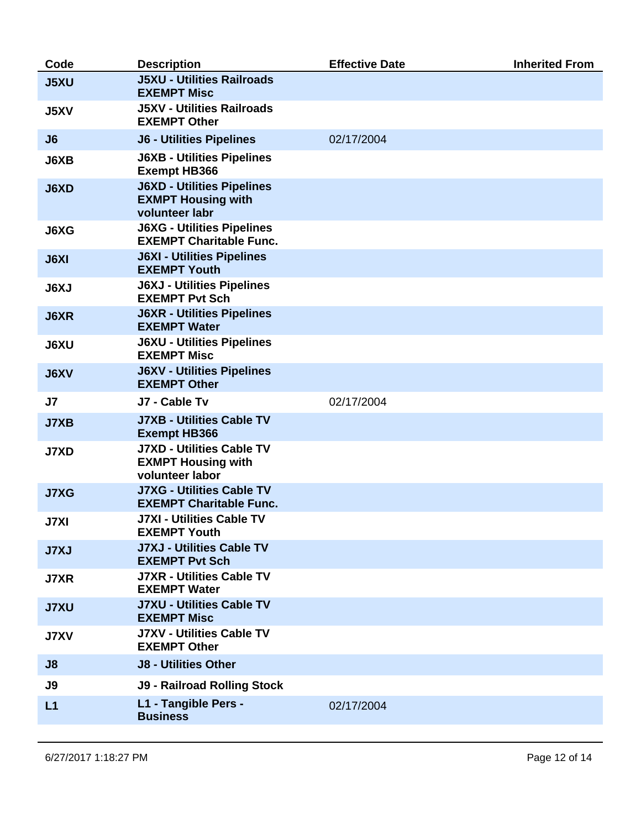| Code           | <b>Description</b>                                                               | <b>Effective Date</b> | <b>Inherited From</b> |
|----------------|----------------------------------------------------------------------------------|-----------------------|-----------------------|
| <b>J5XU</b>    | <b>J5XU - Utilities Railroads</b><br><b>EXEMPT Misc</b>                          |                       |                       |
| <b>J5XV</b>    | <b>J5XV - Utilities Railroads</b><br><b>EXEMPT Other</b>                         |                       |                       |
| J6             | <b>J6 - Utilities Pipelines</b>                                                  | 02/17/2004            |                       |
| J6XB           | <b>J6XB - Utilities Pipelines</b><br><b>Exempt HB366</b>                         |                       |                       |
| <b>J6XD</b>    | <b>J6XD - Utilities Pipelines</b><br><b>EXMPT Housing with</b><br>volunteer labr |                       |                       |
| J6XG           | <b>J6XG - Utilities Pipelines</b><br><b>EXEMPT Charitable Func.</b>              |                       |                       |
| <b>J6XI</b>    | <b>J6XI - Utilities Pipelines</b><br><b>EXEMPT Youth</b>                         |                       |                       |
| <b>J6XJ</b>    | <b>J6XJ - Utilities Pipelines</b><br><b>EXEMPT Pvt Sch</b>                       |                       |                       |
| <b>J6XR</b>    | <b>J6XR - Utilities Pipelines</b><br><b>EXEMPT Water</b>                         |                       |                       |
| <b>J6XU</b>    | <b>J6XU - Utilities Pipelines</b><br><b>EXEMPT Misc</b>                          |                       |                       |
| <b>J6XV</b>    | <b>J6XV - Utilities Pipelines</b><br><b>EXEMPT Other</b>                         |                       |                       |
| J <sub>7</sub> | J7 - Cable Tv                                                                    | 02/17/2004            |                       |
| <b>J7XB</b>    | <b>J7XB - Utilities Cable TV</b><br><b>Exempt HB366</b>                          |                       |                       |
| <b>J7XD</b>    | <b>J7XD - Utilities Cable TV</b><br><b>EXMPT Housing with</b><br>volunteer labor |                       |                       |
| <b>J7XG</b>    | <b>J7XG - Utilities Cable TV</b><br><b>EXEMPT Charitable Func.</b>               |                       |                       |
| <b>J7XI</b>    | <b>J7XI - Utilities Cable TV</b><br><b>EXEMPT Youth</b>                          |                       |                       |
| <b>J7XJ</b>    | <b>J7XJ - Utilities Cable TV</b><br><b>EXEMPT Pvt Sch</b>                        |                       |                       |
| <b>J7XR</b>    | <b>J7XR - Utilities Cable TV</b><br><b>EXEMPT Water</b>                          |                       |                       |
| <b>J7XU</b>    | <b>J7XU - Utilities Cable TV</b><br><b>EXEMPT Misc</b>                           |                       |                       |
| <b>J7XV</b>    | <b>J7XV - Utilities Cable TV</b><br><b>EXEMPT Other</b>                          |                       |                       |
| J8             | <b>J8 - Utilities Other</b>                                                      |                       |                       |
| J9             | <b>J9 - Railroad Rolling Stock</b>                                               |                       |                       |
| L1             | L1 - Tangible Pers -<br><b>Business</b>                                          | 02/17/2004            |                       |
|                |                                                                                  |                       |                       |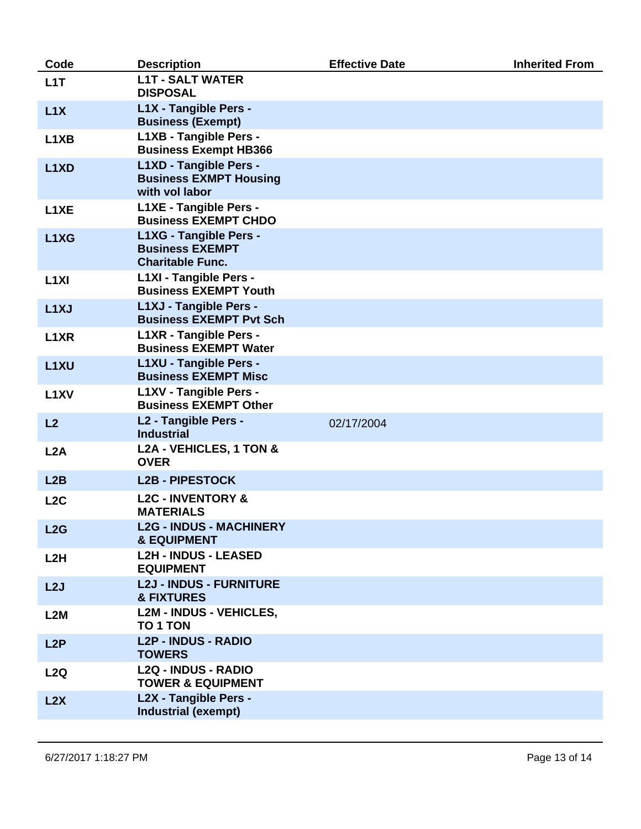| Code                          | <b>Description</b>                                                          | <b>Effective Date</b> | <b>Inherited From</b> |
|-------------------------------|-----------------------------------------------------------------------------|-----------------------|-----------------------|
| L1T                           | <b>L1T - SALT WATER</b><br><b>DISPOSAL</b>                                  |                       |                       |
| L1X                           | L1X - Tangible Pers -<br><b>Business (Exempt)</b>                           |                       |                       |
| L <sub>1</sub> X <sub>B</sub> | L1XB - Tangible Pers -<br><b>Business Exempt HB366</b>                      |                       |                       |
| L <sub>1</sub> X <sub>D</sub> | L1XD - Tangible Pers -<br><b>Business EXMPT Housing</b><br>with vol labor   |                       |                       |
| L <sub>1</sub> XE             | L1XE - Tangible Pers -<br><b>Business EXEMPT CHDO</b>                       |                       |                       |
| L1XG                          | L1XG - Tangible Pers -<br><b>Business EXEMPT</b><br><b>Charitable Func.</b> |                       |                       |
| L <sub>1</sub> XI             | L1XI - Tangible Pers -<br><b>Business EXEMPT Youth</b>                      |                       |                       |
| L <sub>1</sub> XJ             | L1XJ - Tangible Pers -<br><b>Business EXEMPT Pvt Sch</b>                    |                       |                       |
| L <sub>1</sub> XR             | L1XR - Tangible Pers -<br><b>Business EXEMPT Water</b>                      |                       |                       |
| L <sub>1</sub> XU             | L1XU - Tangible Pers -<br><b>Business EXEMPT Misc</b>                       |                       |                       |
| L <sub>1</sub> XV             | L1XV - Tangible Pers -<br><b>Business EXEMPT Other</b>                      |                       |                       |
| L2                            | L2 - Tangible Pers -<br><b>Industrial</b>                                   | 02/17/2004            |                       |
| L2A                           | L2A - VEHICLES, 1 TON &<br><b>OVER</b>                                      |                       |                       |
| L2B                           | <b>L2B - PIPESTOCK</b>                                                      |                       |                       |
| L <sub>2</sub> C              | <b>L2C - INVENTORY &amp;</b><br><b>MATERIALS</b>                            |                       |                       |
| L2G                           | <b>L2G - INDUS - MACHINERY</b><br><b>&amp; EQUIPMENT</b>                    |                       |                       |
| L2H                           | <b>L2H - INDUS - LEASED</b><br><b>EQUIPMENT</b>                             |                       |                       |
| L2J                           | <b>L2J - INDUS - FURNITURE</b><br><b>&amp; FIXTURES</b>                     |                       |                       |
| L2M                           | <b>L2M - INDUS - VEHICLES,</b><br>TO 1 TON                                  |                       |                       |
| L2P                           | <b>L2P - INDUS - RADIO</b><br><b>TOWERS</b>                                 |                       |                       |
| L2Q                           | <b>L2Q - INDUS - RADIO</b><br><b>TOWER &amp; EQUIPMENT</b>                  |                       |                       |
| L2X                           | L2X - Tangible Pers -<br><b>Industrial (exempt)</b>                         |                       |                       |